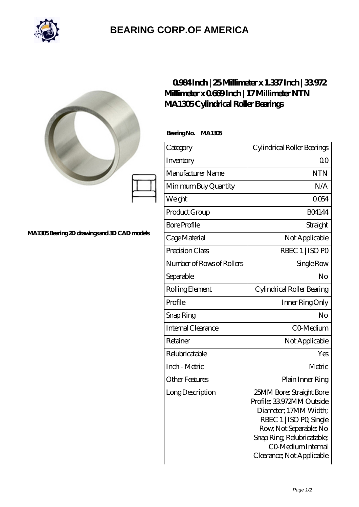

## **[BEARING CORP.OF AMERICA](https://bluemondayreview.com)**

|                                             |                             | $0984$ Inch $25$ Millimeter x 1.337 Inch $3972$<br>Millimeter x 0669Inch   17 Millimeter NTN<br>MA1305Cylindrical Roller Bearings                                                                                  |  |
|---------------------------------------------|-----------------------------|--------------------------------------------------------------------------------------------------------------------------------------------------------------------------------------------------------------------|--|
|                                             | BearingNo.<br><b>MA1305</b> |                                                                                                                                                                                                                    |  |
|                                             | Category                    | Cylindrical Roller Bearings                                                                                                                                                                                        |  |
|                                             | Inventory                   | 0 <sub>0</sub>                                                                                                                                                                                                     |  |
|                                             | Manufacturer Name           | <b>NTN</b>                                                                                                                                                                                                         |  |
|                                             | Minimum Buy Quantity        | N/A                                                                                                                                                                                                                |  |
|                                             | Weight                      | 0054                                                                                                                                                                                                               |  |
|                                             | Product Group               | <b>BO4144</b>                                                                                                                                                                                                      |  |
|                                             | <b>Bore Profile</b>         | Straight                                                                                                                                                                                                           |  |
| MA1305Bearing 2D drawings and 3D CAD models | Cage Material               | Not Applicable                                                                                                                                                                                                     |  |
|                                             | Precision Class             | RBEC 1   ISO PO                                                                                                                                                                                                    |  |
|                                             | Number of Rows of Rollers   | Single Row                                                                                                                                                                                                         |  |
|                                             | Separable                   | No                                                                                                                                                                                                                 |  |
|                                             | Rolling Element             | Cylindrical Roller Bearing                                                                                                                                                                                         |  |
|                                             | Profile                     | Inner Ring Only                                                                                                                                                                                                    |  |
|                                             | Snap Ring                   | No                                                                                                                                                                                                                 |  |
|                                             | Internal Clearance          | CO-Medium                                                                                                                                                                                                          |  |
|                                             | Retainer                    | Not Applicable                                                                                                                                                                                                     |  |
|                                             | Relubricatable              | Yes                                                                                                                                                                                                                |  |
|                                             | Inch - Metric               | Metric                                                                                                                                                                                                             |  |
|                                             | <b>Other Features</b>       | Plain Inner Ring                                                                                                                                                                                                   |  |
|                                             | Long Description            | 25MM Bore; Straight Bore<br>Profile; 33972MM Outside<br>Diameter; 17MM Width;<br>RBEC 1   ISO PO, Single<br>Row, Not Separable; No<br>Snap Ring Relubricatable;<br>CO Medium Internal<br>Clearance; Not Applicable |  |